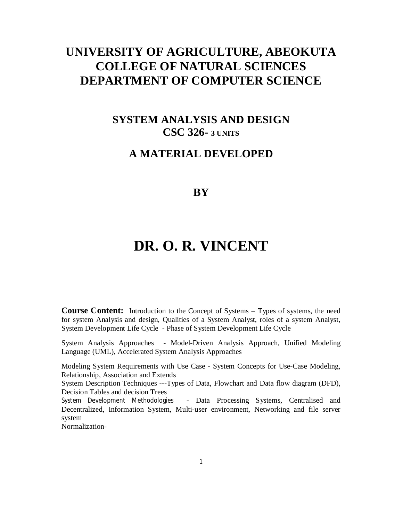# **UNIVERSITY OF AGRICULTURE, ABEOKUTA COLLEGE OF NATURAL SCIENCES DEPARTMENT OF COMPUTER SCIENCE**

# **SYSTEM ANALYSIS AND DESIGN CSC 326- 3 UNITS**

# **A MATERIAL DEVELOPED**

# **BY**

# **DR. O. R. VINCENT**

**Course Content:** Introduction to the Concept of Systems – Types of systems, the need for system Analysis and design, Qualities of a System Analyst, roles of a system Analyst, System Development Life Cycle - Phase of System Development Life Cycle

System Analysis Approaches - Model-Driven Analysis Approach, Unified Modeling Language (UML), Accelerated System Analysis Approaches

Modeling System Requirements with Use Case - System Concepts for Use-Case Modeling, Relationship, Association and Extends

System Description Techniques ---Types of Data, Flowchart and Data flow diagram (DFD), Decision Tables and decision Trees

System Development Methodologies - Data Processing Systems, Centralised and Decentralized, Information System, Multi-user environment, Networking and file server system

Normalization-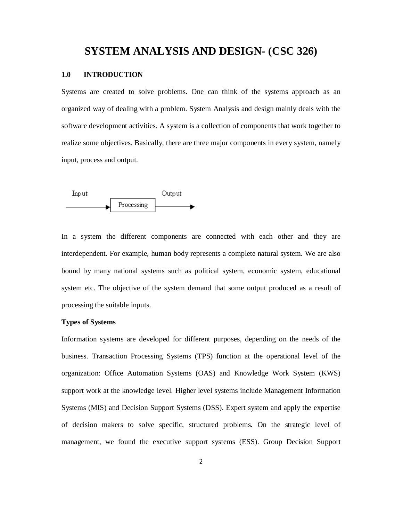# **SYSTEM ANALYSIS AND DESIGN- (CSC 326)**

#### **1.0 INTRODUCTION**

Systems are created to solve problems. One can think of the systems approach as an organized way of dealing with a problem. System Analysis and design mainly deals with the software development activities. A system is a collection of components that work together to realize some objectives. Basically, there are three major components in every system, namely input, process and output.



In a system the different components are connected with each other and they are interdependent. For example, human body represents a complete natural system. We are also bound by many national systems such as political system, economic system, educational system etc. The objective of the system demand that some output produced as a result of processing the suitable inputs.

#### **Types of Systems**

Information systems are developed for different purposes, depending on the needs of the business. Transaction Processing Systems (TPS) function at the operational level of the organization: Office Automation Systems (OAS) and Knowledge Work System (KWS) support work at the knowledge level. Higher level systems include Management Information Systems (MIS) and Decision Support Systems (DSS). Expert system and apply the expertise of decision makers to solve specific, structured problems. On the strategic level of management, we found the executive support systems (ESS). Group Decision Support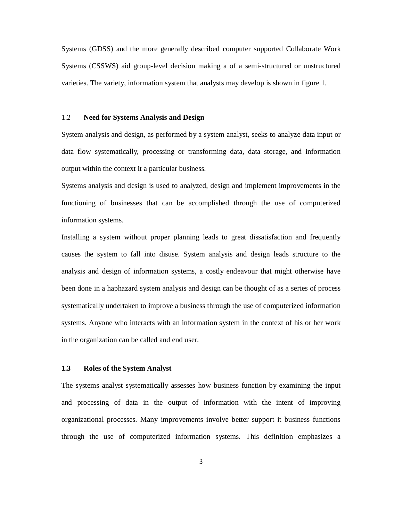Systems (GDSS) and the more generally described computer supported Collaborate Work Systems (CSSWS) aid group-level decision making a of a semi-structured or unstructured varieties. The variety, information system that analysts may develop is shown in figure 1.

#### 1.2 **Need for Systems Analysis and Design**

System analysis and design, as performed by a system analyst, seeks to analyze data input or data flow systematically, processing or transforming data, data storage, and information output within the context it a particular business.

Systems analysis and design is used to analyzed, design and implement improvements in the functioning of businesses that can be accomplished through the use of computerized information systems.

Installing a system without proper planning leads to great dissatisfaction and frequently causes the system to fall into disuse. System analysis and design leads structure to the analysis and design of information systems, a costly endeavour that might otherwise have been done in a haphazard system analysis and design can be thought of as a series of process systematically undertaken to improve a business through the use of computerized information systems. Anyone who interacts with an information system in the context of his or her work in the organization can be called and end user.

#### **1.3 Roles of the System Analyst**

The systems analyst systematically assesses how business function by examining the input and processing of data in the output of information with the intent of improving organizational processes. Many improvements involve better support it business functions through the use of computerized information systems. This definition emphasizes a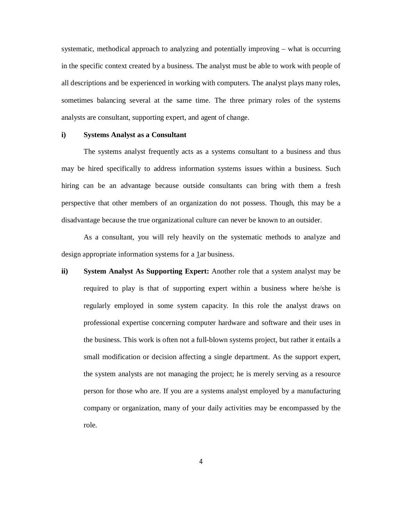systematic, methodical approach to analyzing and potentially improving – what is occurring in the specific context created by a business. The analyst must be able to work with people of all descriptions and be experienced in working with computers. The analyst plays many roles, sometimes balancing several at the same time. The three primary roles of the systems analysts are consultant, supporting expert, and agent of change.

#### **i) Systems Analyst as a Consultant**

The systems analyst frequently acts as a systems consultant to a business and thus may be hired specifically to address information systems issues within a business. Such hiring can be an advantage because outside consultants can bring with them a fresh perspective that other members of an organization do not possess. Though, this may be a disadvantage because the true organizational culture can never be known to an outsider.

As a consultant, you will rely heavily on the systematic methods to analyze and design appropriate information systems for a 1ar business.

**ii) System Analyst As Supporting Expert:** Another role that a system analyst may be required to play is that of supporting expert within a business where he/she is regularly employed in some system capacity. In this role the analyst draws on professional expertise concerning computer hardware and software and their uses in the business. This work is often not a full-blown systems project, but rather it entails a small modification or decision affecting a single department. As the support expert, the system analysts are not managing the project; he is merely serving as a resource person for those who are. If you are a systems analyst employed by a manufacturing company or organization, many of your daily activities may be encompassed by the role.

4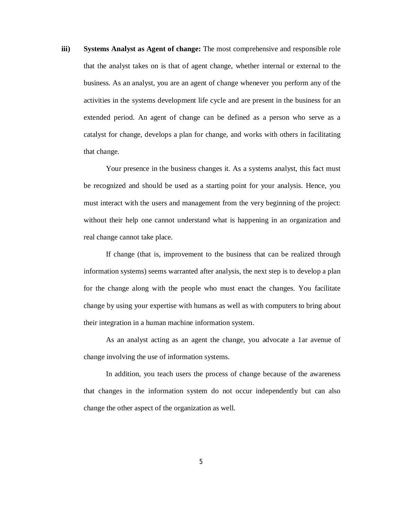**iii) Systems Analyst as Agent of change:** The most comprehensive and responsible role that the analyst takes on is that of agent change, whether internal or external to the business. As an analyst, you are an agent of change whenever you perform any of the activities in the systems development life cycle and are present in the business for an extended period. An agent of change can be defined as a person who serve as a catalyst for change, develops a plan for change, and works with others in facilitating that change.

Your presence in the business changes it. As a systems analyst, this fact must be recognized and should be used as a starting point for your analysis. Hence, you must interact with the users and management from the very beginning of the project: without their help one cannot understand what is happening in an organization and real change cannot take place.

If change (that is, improvement to the business that can be realized through information systems) seems warranted after analysis, the next step is to develop a plan for the change along with the people who must enact the changes. You facilitate change by using your expertise with humans as well as with computers to bring about their integration in a human machine information system.

As an analyst acting as an agent the change, you advocate a 1ar avenue of change involving the use of information systems.

In addition, you teach users the process of change because of the awareness that changes in the information system do not occur independently but can also change the other aspect of the organization as well.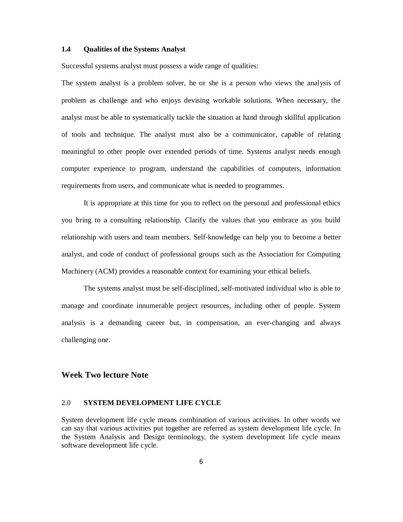#### **1.4 Qualities of the Systems Analyst**

Successful systems analyst must possess a wide range of qualities:

The system analyst is a problem solver, he or she is a person who views the analysis of problem as challenge and who enjoys devising workable solutions. When necessary, the analyst must be able to systematically tackle the situation at hand through skillful application of tools and technique. The analyst must also be a communicator, capable of relating meaningful to other people over extended periods of time. Systems analyst needs enough computer experience to program, understand the capabilities of computers, information requirements from users, and communicate what is needed to programmes.

It is appropriate at this time for you to reflect on the personal and professional ethics you bring to a consulting relationship. Clarify the values that you embrace as you build relationship with users and team members. Self-knowledge can help you to become a better analyst, and code of conduct of professional groups such as the Association for Computing Machinery (ACM) provides a reasonable context for examining your ethical beliefs.

The systems analyst must be self-disciplined, self-motivated individual who is able to manage and coordinate innumerable project resources, including other of people. System analysis is a demanding career but, in compensation, an ever-changing and always challenging one.

# **Week Two lecture Note**

#### 2.0 **SYSTEM DEVELOPMENT LIFE CYCLE**

System development life cycle means combination of various activities. In other words we can say that various activities put together are referred as system development life cycle. In the System Analysis and Design terminology, the system development life cycle means software development life cycle.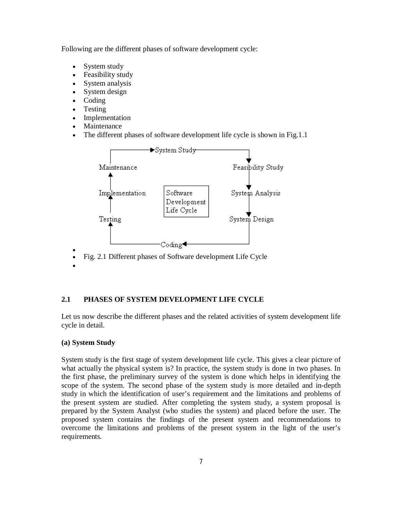Following are the different phases of software development cycle:

- System study
- Feasibility study
- System analysis
- System design
- Coding
- Testing
- Implementation
- Maintenance
- The different phases of software development life cycle is shown in Fig.1.1



Fig. 2.1 Different phases of Software development Life Cycle

# **2.1 PHASES OF SYSTEM DEVELOPMENT LIFE CYCLE**

Let us now describe the different phases and the related activities of system development life cycle in detail.

#### **(a) System Study**

 $\bullet$ 

 $\bullet$ 

System study is the first stage of system development life cycle. This gives a clear picture of what actually the physical system is? In practice, the system study is done in two phases. In the first phase, the preliminary survey of the system is done which helps in identifying the scope of the system. The second phase of the system study is more detailed and in-depth study in which the identification of user's requirement and the limitations and problems of the present system are studied. After completing the system study, a system proposal is prepared by the System Analyst (who studies the system) and placed before the user. The proposed system contains the findings of the present system and recommendations to overcome the limitations and problems of the present system in the light of the user's requirements.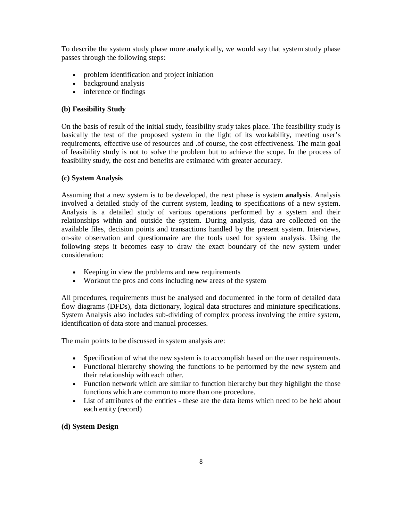To describe the system study phase more analytically, we would say that system study phase passes through the following steps:

- problem identification and project initiation
- background analysis
- inference or findings

# **(b) Feasibility Study**

On the basis of result of the initial study, feasibility study takes place. The feasibility study is basically the test of the proposed system in the light of its workability, meeting user's requirements, effective use of resources and .of course, the cost effectiveness. The main goal of feasibility study is not to solve the problem but to achieve the scope. In the process of feasibility study, the cost and benefits are estimated with greater accuracy.

### **(c) System Analysis**

Assuming that a new system is to be developed, the next phase is system **analysis**. Analysis involved a detailed study of the current system, leading to specifications of a new system. Analysis is a detailed study of various operations performed by a system and their relationships within and outside the system. During analysis, data are collected on the available files, decision points and transactions handled by the present system. Interviews, on-site observation and questionnaire are the tools used for system analysis. Using the following steps it becomes easy to draw the exact boundary of the new system under consideration:

- Keeping in view the problems and new requirements
- Workout the pros and cons including new areas of the system

All procedures, requirements must be analysed and documented in the form of detailed data flow diagrams (DFDs), data dictionary, logical data structures and miniature specifications. System Analysis also includes sub-dividing of complex process involving the entire system, identification of data store and manual processes.

The main points to be discussed in system analysis are:

- Specification of what the new system is to accomplish based on the user requirements.
- Functional hierarchy showing the functions to be performed by the new system and their relationship with each other.
- Function network which are similar to function hierarchy but they highlight the those functions which are common to more than one procedure.
- List of attributes of the entities these are the data items which need to be held about each entity (record)

# **(d) System Design**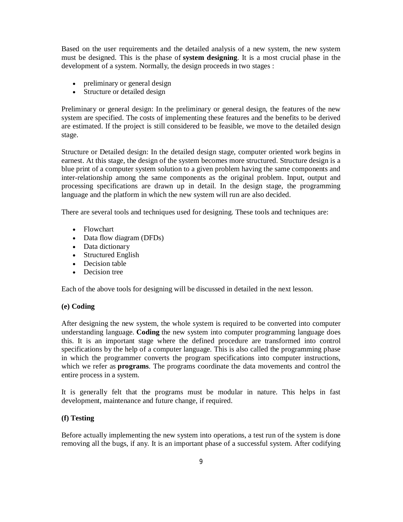Based on the user requirements and the detailed analysis of a new system, the new system must be designed. This is the phase of **system designing**. It is a most crucial phase in the development of a system. Normally, the design proceeds in two stages :

- preliminary or general design
- Structure or detailed design

Preliminary or general design: In the preliminary or general design, the features of the new system are specified. The costs of implementing these features and the benefits to be derived are estimated. If the project is still considered to be feasible, we move to the detailed design stage.

Structure or Detailed design: In the detailed design stage, computer oriented work begins in earnest. At this stage, the design of the system becomes more structured. Structure design is a blue print of a computer system solution to a given problem having the same components and inter-relationship among the same components as the original problem. Input, output and processing specifications are drawn up in detail. In the design stage, the programming language and the platform in which the new system will run are also decided.

There are several tools and techniques used for designing. These tools and techniques are:

- Flowchart
- Data flow diagram (DFDs)
- Data dictionary
- Structured English
- Decision table
- Decision tree

Each of the above tools for designing will be discussed in detailed in the next lesson.

#### **(e) Coding**

After designing the new system, the whole system is required to be converted into computer understanding language. **Coding** the new system into computer programming language does this. It is an important stage where the defined procedure are transformed into control specifications by the help of a computer language. This is also called the programming phase in which the programmer converts the program specifications into computer instructions, which we refer as **programs**. The programs coordinate the data movements and control the entire process in a system.

It is generally felt that the programs must be modular in nature. This helps in fast development, maintenance and future change, if required.

# **(f) Testing**

Before actually implementing the new system into operations, a test run of the system is done removing all the bugs, if any. It is an important phase of a successful system. After codifying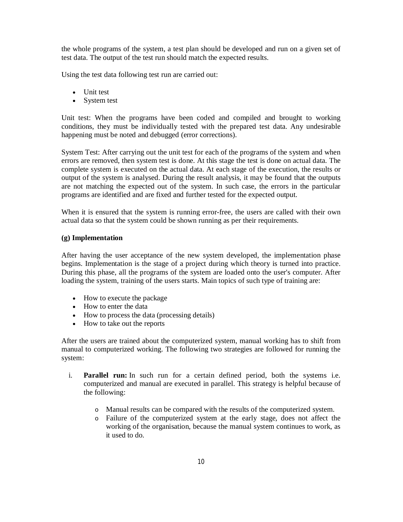the whole programs of the system, a test plan should be developed and run on a given set of test data. The output of the test run should match the expected results.

Using the test data following test run are carried out:

- Unit test
- System test

Unit test: When the programs have been coded and compiled and brought to working conditions, they must be individually tested with the prepared test data. Any undesirable happening must be noted and debugged (error corrections).

System Test: After carrying out the unit test for each of the programs of the system and when errors are removed, then system test is done. At this stage the test is done on actual data. The complete system is executed on the actual data. At each stage of the execution, the results or output of the system is analysed. During the result analysis, it may be found that the outputs are not matching the expected out of the system. In such case, the errors in the particular programs are identified and are fixed and further tested for the expected output.

When it is ensured that the system is running error-free, the users are called with their own actual data so that the system could be shown running as per their requirements.

#### **(g) Implementation**

After having the user acceptance of the new system developed, the implementation phase begins. Implementation is the stage of a project during which theory is turned into practice. During this phase, all the programs of the system are loaded onto the user's computer. After loading the system, training of the users starts. Main topics of such type of training are:

- How to execute the package
- How to enter the data
- How to process the data (processing details)
- How to take out the reports

After the users are trained about the computerized system, manual working has to shift from manual to computerized working. The following two strategies are followed for running the system:

- i. **Parallel run:** In such run for a certain defined period, both the systems i.e. computerized and manual are executed in parallel. This strategy is helpful because of the following:
	- o Manual results can be compared with the results of the computerized system.
	- o Failure of the computerized system at the early stage, does not affect the working of the organisation, because the manual system continues to work, as it used to do.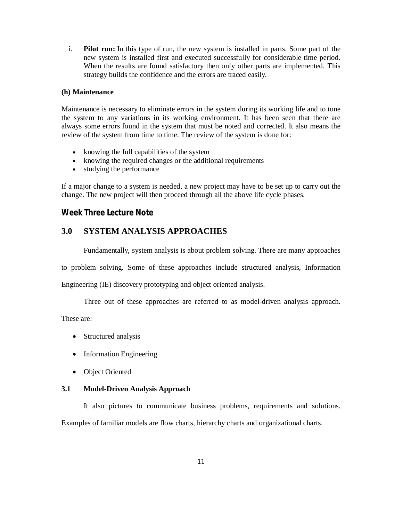i. **Pilot run:** In this type of run, the new system is installed in parts. Some part of the new system is installed first and executed successfully for considerable time period. When the results are found satisfactory then only other parts are implemented. This strategy builds the confidence and the errors are traced easily.

#### **(h) Maintenance**

Maintenance is necessary to eliminate errors in the system during its working life and to tune the system to any variations in its working environment. It has been seen that there are always some errors found in the system that must be noted and corrected. It also means the review of the system from time to time. The review of the system is done for:

- knowing the full capabilities of the system
- knowing the required changes or the additional requirements
- studying the performance

If a major change to a system is needed, a new project may have to be set up to carry out the change. The new project will then proceed through all the above life cycle phases.

# **Week Three Lecture Note**

# **3.0 SYSTEM ANALYSIS APPROACHES**

Fundamentally, system analysis is about problem solving. There are many approaches

to problem solving. Some of these approaches include structured analysis, Information

Engineering (IE) discovery prototyping and object oriented analysis.

Three out of these approaches are referred to as model-driven analysis approach.

These are:

- Structured analysis
- Information Engineering
- Object Oriented

#### **3.1 Model-Driven Analysis Approach**

It also pictures to communicate business problems, requirements and solutions. Examples of familiar models are flow charts, hierarchy charts and organizational charts.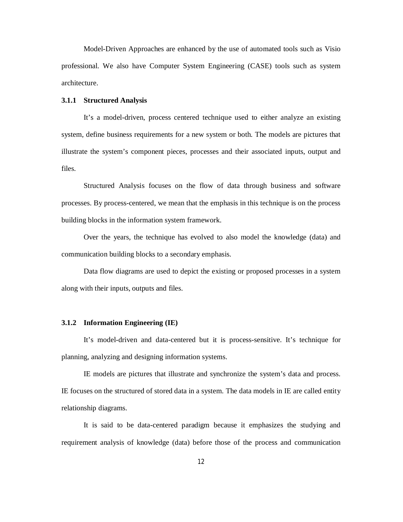Model-Driven Approaches are enhanced by the use of automated tools such as Visio professional. We also have Computer System Engineering (CASE) tools such as system architecture.

### **3.1.1 Structured Analysis**

It's a model-driven, process centered technique used to either analyze an existing system, define business requirements for a new system or both. The models are pictures that illustrate the system's component pieces, processes and their associated inputs, output and files.

Structured Analysis focuses on the flow of data through business and software processes. By process-centered, we mean that the emphasis in this technique is on the process building blocks in the information system framework.

Over the years, the technique has evolved to also model the knowledge (data) and communication building blocks to a secondary emphasis.

Data flow diagrams are used to depict the existing or proposed processes in a system along with their inputs, outputs and files.

#### **3.1.2 Information Engineering (IE)**

It's model-driven and data-centered but it is process-sensitive. It's technique for planning, analyzing and designing information systems.

IE models are pictures that illustrate and synchronize the system's data and process. IE focuses on the structured of stored data in a system. The data models in IE are called entity relationship diagrams.

It is said to be data-centered paradigm because it emphasizes the studying and requirement analysis of knowledge (data) before those of the process and communication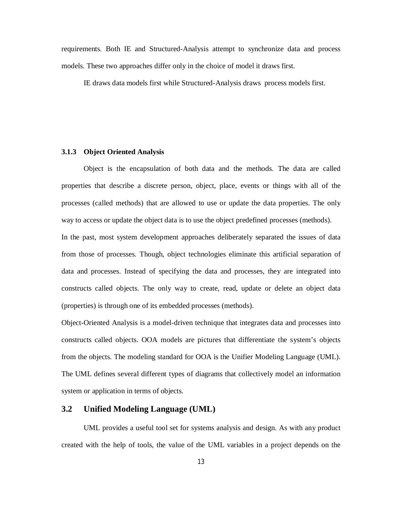requirements. Both IE and Structured-Analysis attempt to synchronize data and process models. These two approaches differ only in the choice of model it draws first.

IE draws data models first while Structured-Analysis draws process models first.

#### **3.1.3 Object Oriented Analysis**

Object is the encapsulation of both data and the methods. The data are called properties that describe a discrete person, object, place, events or things with all of the processes (called methods) that are allowed to use or update the data properties. The only way to access or update the object data is to use the object predefined processes (methods).

In the past, most system development approaches deliberately separated the issues of data from those of processes. Though, object technologies eliminate this artificial separation of data and processes. Instead of specifying the data and processes, they are integrated into constructs called objects. The only way to create, read, update or delete an object data (properties) is through one of its embedded processes (methods).

Object-Oriented Analysis is a model-driven technique that integrates data and processes into constructs called objects. OOA models are pictures that differentiate the system's objects from the objects. The modeling standard for OOA is the Unifier Modeling Language (UML). The UML defines several different types of diagrams that collectively model an information system or application in terms of objects.

# **3.2 Unified Modeling Language (UML)**

UML provides a useful tool set for systems analysis and design. As with any product created with the help of tools, the value of the UML variables in a project depends on the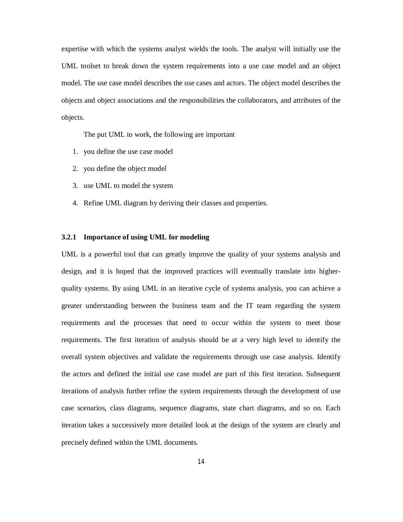expertise with which the systems analyst wields the tools. The analyst will initially use the UML toolset to break down the system requirements into a use case model and an object model. The use case model describes the use cases and actors. The object model describes the objects and object associations and the responsibilities the collaborators, and attributes of the objects.

The put UML to work, the following are important

- 1. you define the use case model
- 2. you define the object model
- 3. use UML to model the system
- 4. Refine UML diagram by deriving their classes and properties.

#### **3.2.1 Importance of using UML for modeling**

UML is a powerful tool that can greatly improve the quality of your systems analysis and design, and it is hoped that the improved practices will eventually translate into higherquality systems. By using UML in an iterative cycle of systems analysis, you can achieve a greater understanding between the business team and the IT team regarding the system requirements and the processes that need to occur within the system to meet those requirements. The first iteration of analysis should be at a very high level to identify the overall system objectives and validate the requirements through use case analysis. Identify the actors and defined the initial use case model are part of this first iteration. Subsequent iterations of analysis further refine the system requirements through the development of use case scenarios, class diagrams, sequence diagrams, state chart diagrams, and so on. Each iteration takes a successively more detailed look at the design of the system are clearly and precisely defined within the UML documents.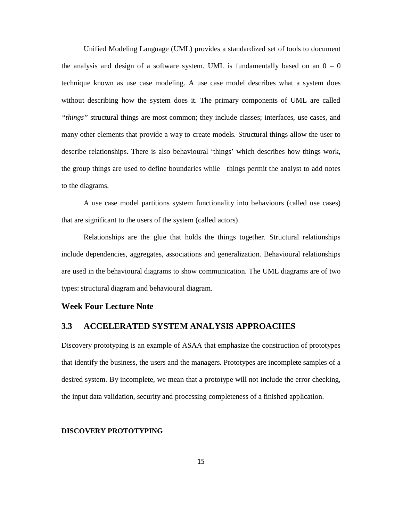Unified Modeling Language (UML) provides a standardized set of tools to document the analysis and design of a software system. UML is fundamentally based on an  $0 - 0$ technique known as use case modeling. A use case model describes what a system does without describing how the system does it. The primary components of UML are called *"things"* structural things are most common; they include classes; interfaces, use cases, and many other elements that provide a way to create models. Structural things allow the user to describe relationships. There is also behavioural 'things' which describes how things work, the group things are used to define boundaries while things permit the analyst to add notes to the diagrams.

A use case model partitions system functionality into behaviours (called use cases) that are significant to the users of the system (called actors).

Relationships are the glue that holds the things together. Structural relationships include dependencies, aggregates, associations and generalization. Behavioural relationships are used in the behavioural diagrams to show communication. The UML diagrams are of two types: structural diagram and behavioural diagram.

# **Week Four Lecture Note**

# **3.3 ACCELERATED SYSTEM ANALYSIS APPROACHES**

Discovery prototyping is an example of ASAA that emphasize the construction of prototypes that identify the business, the users and the managers. Prototypes are incomplete samples of a desired system. By incomplete, we mean that a prototype will not include the error checking, the input data validation, security and processing completeness of a finished application.

#### **DISCOVERY PROTOTYPING**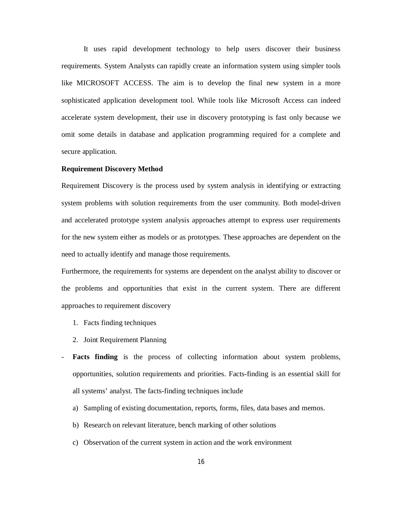It uses rapid development technology to help users discover their business requirements. System Analysts can rapidly create an information system using simpler tools like MICROSOFT ACCESS. The aim is to develop the final new system in a more sophisticated application development tool. While tools like Microsoft Access can indeed accelerate system development, their use in discovery prototyping is fast only because we omit some details in database and application programming required for a complete and secure application.

#### **Requirement Discovery Method**

Requirement Discovery is the process used by system analysis in identifying or extracting system problems with solution requirements from the user community. Both model-driven and accelerated prototype system analysis approaches attempt to express user requirements for the new system either as models or as prototypes. These approaches are dependent on the need to actually identify and manage those requirements.

Furthermore, the requirements for systems are dependent on the analyst ability to discover or the problems and opportunities that exist in the current system. There are different approaches to requirement discovery

- 1. Facts finding techniques
- 2. Joint Requirement Planning
- **Facts finding** is the process of collecting information about system problems, opportunities, solution requirements and priorities. Facts-finding is an essential skill for all systems' analyst. The facts-finding techniques include
	- a) Sampling of existing documentation, reports, forms, files, data bases and memos.
	- b) Research on relevant literature, bench marking of other solutions
	- c) Observation of the current system in action and the work environment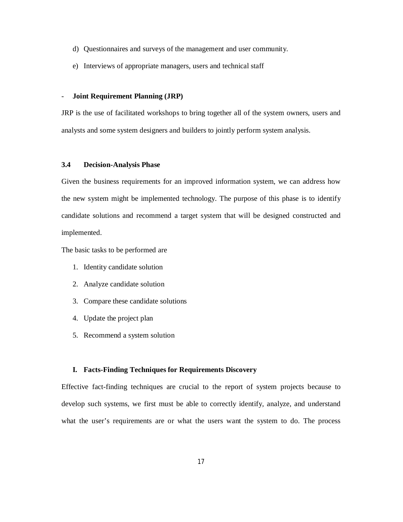- d) Questionnaires and surveys of the management and user community.
- e) Interviews of appropriate managers, users and technical staff

#### - **Joint Requirement Planning (JRP)**

JRP is the use of facilitated workshops to bring together all of the system owners, users and analysts and some system designers and builders to jointly perform system analysis.

#### **3.4 Decision-Analysis Phase**

Given the business requirements for an improved information system, we can address how the new system might be implemented technology. The purpose of this phase is to identify candidate solutions and recommend a target system that will be designed constructed and implemented.

The basic tasks to be performed are

- 1. Identity candidate solution
- 2. Analyze candidate solution
- 3. Compare these candidate solutions
- 4. Update the project plan
- 5. Recommend a system solution

#### **I. Facts-Finding Techniques for Requirements Discovery**

Effective fact-finding techniques are crucial to the report of system projects because to develop such systems, we first must be able to correctly identify, analyze, and understand what the user's requirements are or what the users want the system to do. The process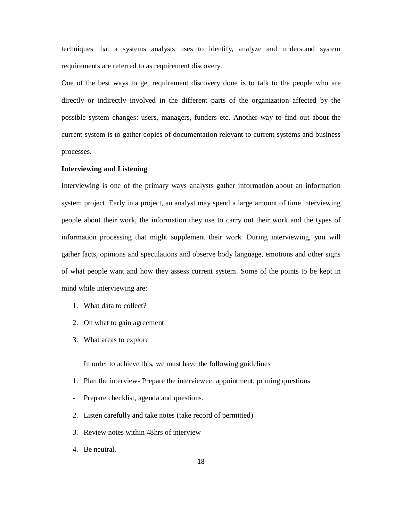techniques that a systems analysts uses to identify, analyze and understand system requirements are referred to as requirement discovery.

One of the best ways to get requirement discovery done is to talk to the people who are directly or indirectly involved in the different parts of the organization affected by the possible system changes: users, managers, funders etc. Another way to find out about the current system is to gather copies of documentation relevant to current systems and business processes.

#### **Interviewing and Listening**

Interviewing is one of the primary ways analysts gather information about an information system project. Early in a project, an analyst may spend a large amount of time interviewing people about their work, the information they use to carry out their work and the types of information processing that might supplement their work. During interviewing, you will gather facts, opinions and speculations and observe body language, emotions and other signs of what people want and how they assess current system. Some of the points to be kept in mind while interviewing are:

- 1. What data to collect?
- 2. On what to gain agreement
- 3. What areas to explore

In order to achieve this, we must have the following guidelines

- 1. Plan the interview- Prepare the interviewee: appointment, priming questions
- Prepare checklist, agenda and questions.
- 2. Listen carefully and take notes (take record of permitted)
- 3. Review notes within 48hrs of interview
- 4. Be neutral.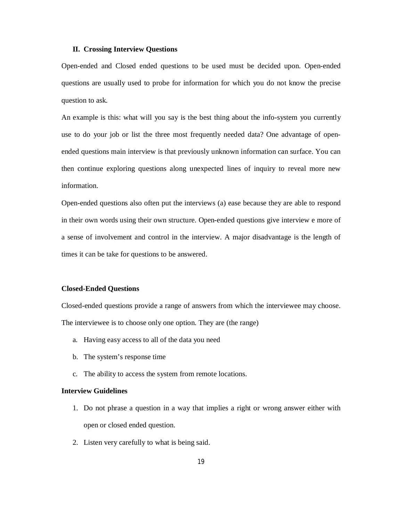#### **II. Crossing Interview Questions**

Open-ended and Closed ended questions to be used must be decided upon. Open-ended questions are usually used to probe for information for which you do not know the precise question to ask.

An example is this: what will you say is the best thing about the info-system you currently use to do your job or list the three most frequently needed data? One advantage of openended questions main interview is that previously unknown information can surface. You can then continue exploring questions along unexpected lines of inquiry to reveal more new information.

Open-ended questions also often put the interviews (a) ease because they are able to respond in their own words using their own structure. Open-ended questions give interview e more of a sense of involvement and control in the interview. A major disadvantage is the length of times it can be take for questions to be answered.

#### **Closed-Ended Questions**

Closed-ended questions provide a range of answers from which the interviewee may choose. The interviewee is to choose only one option. They are (the range)

- a. Having easy access to all of the data you need
- b. The system's response time
- c. The ability to access the system from remote locations.

#### **Interview Guidelines**

- 1. Do not phrase a question in a way that implies a right or wrong answer either with open or closed ended question.
- 2. Listen very carefully to what is being said.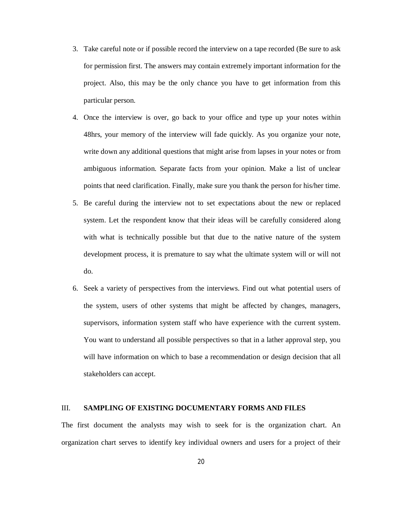- 3. Take careful note or if possible record the interview on a tape recorded (Be sure to ask for permission first. The answers may contain extremely important information for the project. Also, this may be the only chance you have to get information from this particular person.
- 4. Once the interview is over, go back to your office and type up your notes within 48hrs, your memory of the interview will fade quickly. As you organize your note, write down any additional questions that might arise from lapses in your notes or from ambiguous information. Separate facts from your opinion. Make a list of unclear points that need clarification. Finally, make sure you thank the person for his/her time.
- 5. Be careful during the interview not to set expectations about the new or replaced system. Let the respondent know that their ideas will be carefully considered along with what is technically possible but that due to the native nature of the system development process, it is premature to say what the ultimate system will or will not do.
- 6. Seek a variety of perspectives from the interviews. Find out what potential users of the system, users of other systems that might be affected by changes, managers, supervisors, information system staff who have experience with the current system. You want to understand all possible perspectives so that in a lather approval step, you will have information on which to base a recommendation or design decision that all stakeholders can accept.

#### III. **SAMPLING OF EXISTING DOCUMENTARY FORMS AND FILES**

The first document the analysts may wish to seek for is the organization chart. An organization chart serves to identify key individual owners and users for a project of their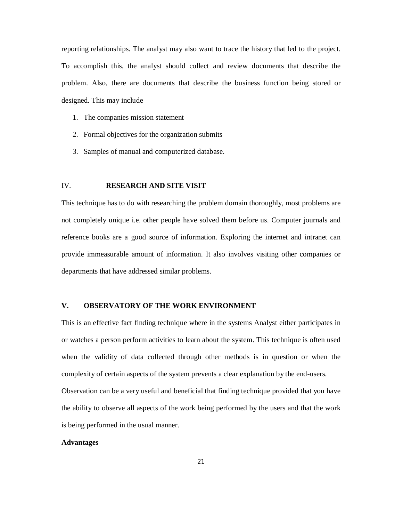reporting relationships. The analyst may also want to trace the history that led to the project. To accomplish this, the analyst should collect and review documents that describe the problem. Also, there are documents that describe the business function being stored or designed. This may include

- 1. The companies mission statement
- 2. Formal objectives for the organization submits
- 3. Samples of manual and computerized database.

#### IV. **RESEARCH AND SITE VISIT**

This technique has to do with researching the problem domain thoroughly, most problems are not completely unique i.e. other people have solved them before us. Computer journals and reference books are a good source of information. Exploring the internet and intranet can provide immeasurable amount of information. It also involves visiting other companies or departments that have addressed similar problems.

#### **V. OBSERVATORY OF THE WORK ENVIRONMENT**

This is an effective fact finding technique where in the systems Analyst either participates in or watches a person perform activities to learn about the system. This technique is often used when the validity of data collected through other methods is in question or when the complexity of certain aspects of the system prevents a clear explanation by the end-users. Observation can be a very useful and beneficial that finding technique provided that you have the ability to observe all aspects of the work being performed by the users and that the work is being performed in the usual manner.

# **Advantages**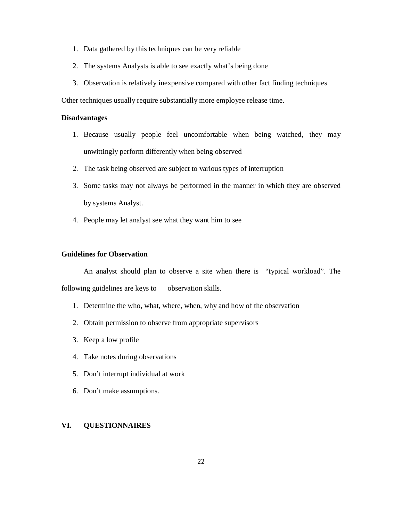- 1. Data gathered by this techniques can be very reliable
- 2. The systems Analysts is able to see exactly what's being done
- 3. Observation is relatively inexpensive compared with other fact finding techniques

Other techniques usually require substantially more employee release time.

# **Disadvantages**

- 1. Because usually people feel uncomfortable when being watched, they may unwittingly perform differently when being observed
- 2. The task being observed are subject to various types of interruption
- 3. Some tasks may not always be performed in the manner in which they are observed by systems Analyst.
- 4. People may let analyst see what they want him to see

#### **Guidelines for Observation**

An analyst should plan to observe a site when there is "typical workload". The following guidelines are keys to observation skills.

- 1. Determine the who, what, where, when, why and how of the observation
- 2. Obtain permission to observe from appropriate supervisors
- 3. Keep a low profile
- 4. Take notes during observations
- 5. Don't interrupt individual at work
- 6. Don't make assumptions.

# **VI. QUESTIONNAIRES**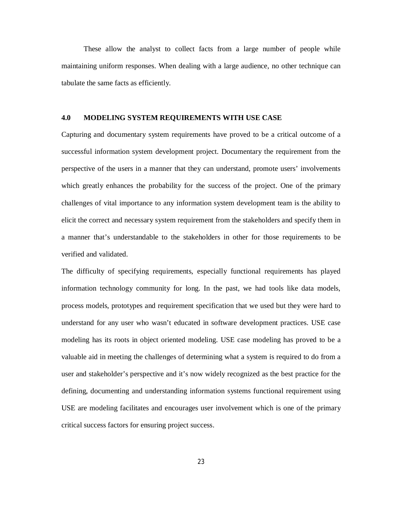These allow the analyst to collect facts from a large number of people while maintaining uniform responses. When dealing with a large audience, no other technique can tabulate the same facts as efficiently.

#### **4.0 MODELING SYSTEM REQUIREMENTS WITH USE CASE**

Capturing and documentary system requirements have proved to be a critical outcome of a successful information system development project. Documentary the requirement from the perspective of the users in a manner that they can understand, promote users' involvements which greatly enhances the probability for the success of the project. One of the primary challenges of vital importance to any information system development team is the ability to elicit the correct and necessary system requirement from the stakeholders and specify them in a manner that's understandable to the stakeholders in other for those requirements to be verified and validated.

The difficulty of specifying requirements, especially functional requirements has played information technology community for long. In the past, we had tools like data models, process models, prototypes and requirement specification that we used but they were hard to understand for any user who wasn't educated in software development practices. USE case modeling has its roots in object oriented modeling. USE case modeling has proved to be a valuable aid in meeting the challenges of determining what a system is required to do from a user and stakeholder's perspective and it's now widely recognized as the best practice for the defining, documenting and understanding information systems functional requirement using USE are modeling facilitates and encourages user involvement which is one of the primary critical success factors for ensuring project success.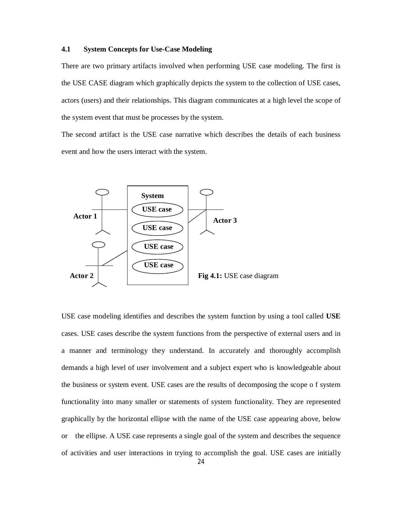#### **4.1 System Concepts for Use-Case Modeling**

There are two primary artifacts involved when performing USE case modeling. The first is the USE CASE diagram which graphically depicts the system to the collection of USE cases, actors (users) and their relationships. This diagram communicates at a high level the scope of the system event that must be processes by the system.

The second artifact is the USE case narrative which describes the details of each business event and how the users interact with the system.



USE case modeling identifies and describes the system function by using a tool called **USE** cases. USE cases describe the system functions from the perspective of external users and in a manner and terminology they understand. In accurately and thoroughly accomplish demands a high level of user involvement and a subject expert who is knowledgeable about the business or system event. USE cases are the results of decomposing the scope o f system functionality into many smaller or statements of system functionality. They are represented graphically by the horizontal ellipse with the name of the USE case appearing above, below or the ellipse. A USE case represents a single goal of the system and describes the sequence of activities and user interactions in trying to accomplish the goal. USE cases are initially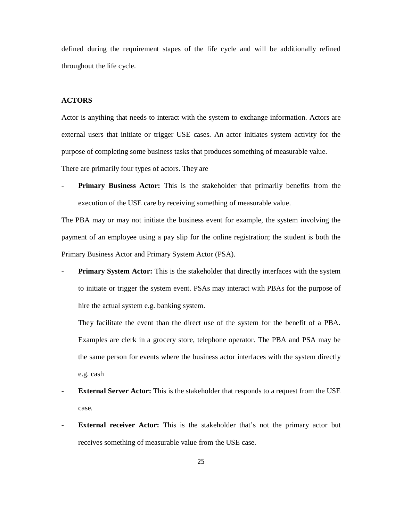defined during the requirement stapes of the life cycle and will be additionally refined throughout the life cycle.

#### **ACTORS**

Actor is anything that needs to interact with the system to exchange information. Actors are external users that initiate or trigger USE cases. An actor initiates system activity for the purpose of completing some business tasks that produces something of measurable value. There are primarily four types of actors. They are

- **Primary Business Actor:** This is the stakeholder that primarily benefits from the execution of the USE care by receiving something of measurable value.

The PBA may or may not initiate the business event for example, the system involving the payment of an employee using a pay slip for the online registration; the student is both the Primary Business Actor and Primary System Actor (PSA).

**Primary System Actor:** This is the stakeholder that directly interfaces with the system to initiate or trigger the system event. PSAs may interact with PBAs for the purpose of hire the actual system e.g. banking system.

They facilitate the event than the direct use of the system for the benefit of a PBA. Examples are clerk in a grocery store, telephone operator. The PBA and PSA may be the same person for events where the business actor interfaces with the system directly e.g. cash

- **External Server Actor:** This is the stakeholder that responds to a request from the USE case.
- **External receiver Actor:** This is the stakeholder that's not the primary actor but receives something of measurable value from the USE case.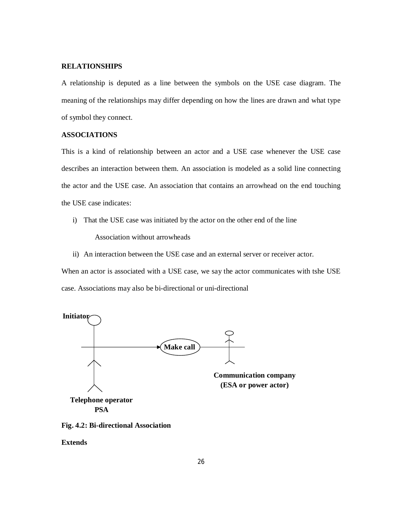#### **RELATIONSHIPS**

A relationship is deputed as a line between the symbols on the USE case diagram. The meaning of the relationships may differ depending on how the lines are drawn and what type of symbol they connect.

#### **ASSOCIATIONS**

This is a kind of relationship between an actor and a USE case whenever the USE case describes an interaction between them. An association is modeled as a solid line connecting the actor and the USE case. An association that contains an arrowhead on the end touching the USE case indicates:

- i) That the USE case was initiated by the actor on the other end of the line Association without arrowheads
- ii) An interaction between the USE case and an external server or receiver actor.

When an actor is associated with a USE case, we say the actor communicates with tshe USE case. Associations may also be bi-directional or uni-directional





**Extends**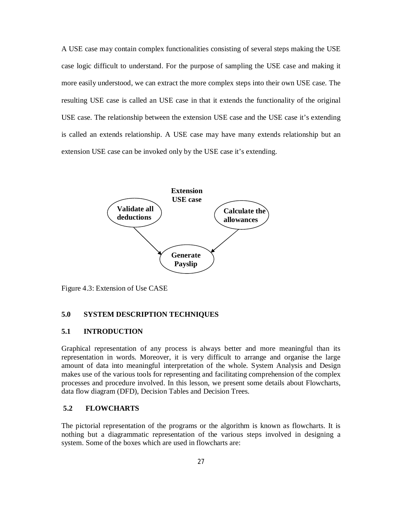A USE case may contain complex functionalities consisting of several steps making the USE case logic difficult to understand. For the purpose of sampling the USE case and making it more easily understood, we can extract the more complex steps into their own USE case. The resulting USE case is called an USE case in that it extends the functionality of the original USE case. The relationship between the extension USE case and the USE case it's extending is called an extends relationship. A USE case may have many extends relationship but an extension USE case can be invoked only by the USE case it's extending.



Figure 4.3: Extension of Use CASE

#### **5.0 SYSTEM DESCRIPTION TECHNIQUES**

#### **5.1 INTRODUCTION**

Graphical representation of any process is always better and more meaningful than its representation in words. Moreover, it is very difficult to arrange and organise the large amount of data into meaningful interpretation of the whole. System Analysis and Design makes use of the various tools for representing and facilitating comprehension of the complex processes and procedure involved. In this lesson, we present some details about Flowcharts, data flow diagram (DFD), Decision Tables and Decision Trees.

# **5.2 FLOWCHARTS**

The pictorial representation of the programs or the algorithm is known as flowcharts. It is nothing but a diagrammatic representation of the various steps involved in designing a system. Some of the boxes which are used in flowcharts are: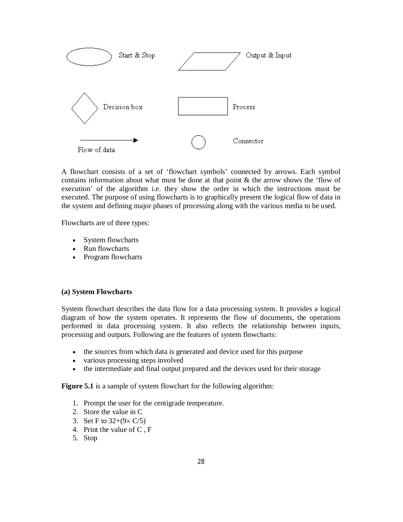

A flowchart consists of a set of 'flowchart symbols' connected by arrows. Each symbol contains information about what must be done at that point & the arrow shows the 'flow of execution' of the algorithm i.e. they show the order in which the instructions must be executed. The purpose of using flowcharts is to graphically present the logical flow of data in the system and defining major phases of processing along with the various media to be used.

Flowcharts are of three types:

- System flowcharts
- Run flowcharts
- Program flowcharts

#### **(a) System Flowcharts**

System flowchart describes the data flow for a data processing system. It provides a logical diagram of how the system operates. It represents the flow of documents, the operations performed in data processing system. It also reflects the relationship between inputs, processing and outputs. Following are the features of system flowcharts:

- the sources from which data is generated and device used for this purpose
- various processing steps involved
- the intermediate and final output prepared and the devices used for their storage

**Figure 5.1** is a sample of system flowchart for the following algorithm:

- 1. Prompt the user for the centigrade temperature.
- 2. Store the value in C
- 3. Set F to  $32+(9\times \text{C}/5)$
- 4. Print the value of C , F
- 5. Stop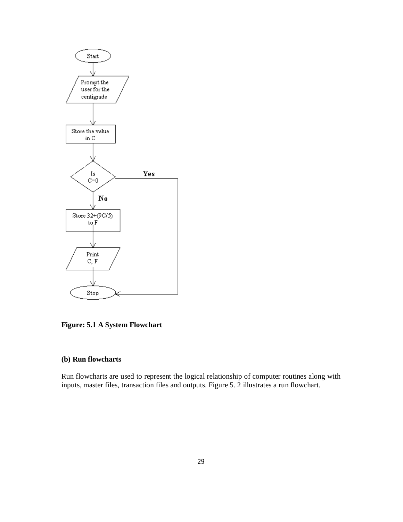

**Figure: 5.1 A System Flowchart**

# **(b) Run flowcharts**

Run flowcharts are used to represent the logical relationship of computer routines along with inputs, master files, transaction files and outputs. Figure 5. 2 illustrates a run flowchart.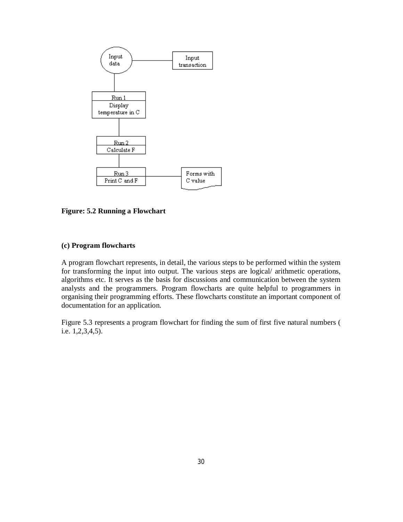

**Figure: 5.2 Running a Flowchart**

#### **(c) Program flowcharts**

A program flowchart represents, in detail, the various steps to be performed within the system for transforming the input into output. The various steps are logical/ arithmetic operations, algorithms etc. It serves as the basis for discussions and communication between the system analysts and the programmers. Program flowcharts are quite helpful to programmers in organising their programming efforts. These flowcharts constitute an important component of documentation for an application.

Figure 5.3 represents a program flowchart for finding the sum of first five natural numbers ( i.e. 1,2,3,4,5).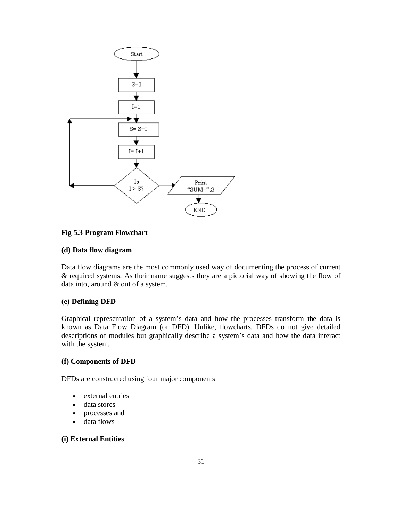

#### **Fig 5.3 Program Flowchart**

#### **(d) Data flow diagram**

Data flow diagrams are the most commonly used way of documenting the process of current & required systems. As their name suggests they are a pictorial way of showing the flow of data into, around & out of a system.

#### **(e) Defining DFD**

Graphical representation of a system's data and how the processes transform the data is known as Data Flow Diagram (or DFD). Unlike, flowcharts, DFDs do not give detailed descriptions of modules but graphically describe a system's data and how the data interact with the system.

#### **(f) Components of DFD**

DFDs are constructed using four major components

- external entries
- data stores
- processes and
- data flows

# **(i) External Entities**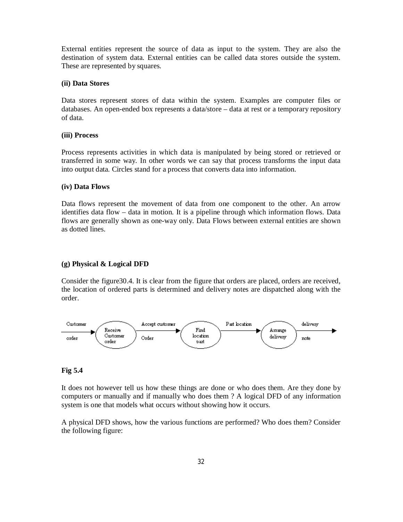External entities represent the source of data as input to the system. They are also the destination of system data. External entities can be called data stores outside the system. These are represented by squares.

#### **(ii) Data Stores**

Data stores represent stores of data within the system. Examples are computer files or databases. An open-ended box represents a data/store – data at rest or a temporary repository of data.

#### **(iii) Process**

Process represents activities in which data is manipulated by being stored or retrieved or transferred in some way. In other words we can say that process transforms the input data into output data. Circles stand for a process that converts data into information.

#### **(iv) Data Flows**

Data flows represent the movement of data from one component to the other. An arrow identifies data flow – data in motion. It is a pipeline through which information flows. Data flows are generally shown as one-way only. Data Flows between external entities are shown as dotted lines.

#### **(g) Physical & Logical DFD**

Consider the figure30.4. It is clear from the figure that orders are placed, orders are received, the location of ordered parts is determined and delivery notes are dispatched along with the order.



#### **Fig 5.4**

It does not however tell us how these things are done or who does them. Are they done by computers or manually and if manually who does them ? A logical DFD of any information system is one that models what occurs without showing how it occurs.

A physical DFD shows, how the various functions are performed? Who does them? Consider the following figure: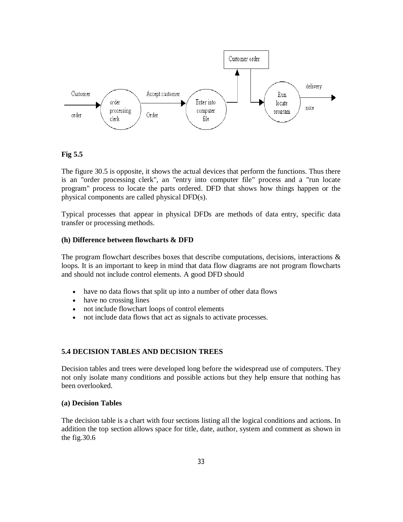

**Fig 5.5**

The figure 30.5 is opposite, it shows the actual devices that perform the functions. Thus there is an "order processing clerk", an "entry into computer file" process and a "run locate program" process to locate the parts ordered. DFD that shows how things happen or the physical components are called physical DFD(s).

Typical processes that appear in physical DFDs are methods of data entry, specific data transfer or processing methods.

#### **(h) Difference between flowcharts & DFD**

The program flowchart describes boxes that describe computations, decisions, interactions  $\&$ loops. It is an important to keep in mind that data flow diagrams are not program flowcharts and should not include control elements. A good DFD should

- have no data flows that split up into a number of other data flows
- have no crossing lines
- not include flowchart loops of control elements
- not include data flows that act as signals to activate processes.

#### **5.4 DECISION TABLES AND DECISION TREES**

Decision tables and trees were developed long before the widespread use of computers. They not only isolate many conditions and possible actions but they help ensure that nothing has been overlooked.

#### **(a) Decision Tables**

The decision table is a chart with four sections listing all the logical conditions and actions. In addition the top section allows space for title, date, author, system and comment as shown in the fig.30.6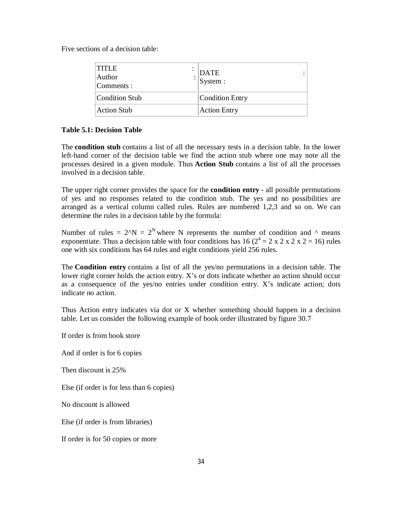Five sections of a decision table:

| <b>TITLE</b><br>Author<br>Comments : | DATE<br>System :    |
|--------------------------------------|---------------------|
| Condition Stub                       | Condition Entry     |
| Action Stub                          | <b>Action Entry</b> |

## **Table 5.1: Decision Table**

The **condition stub** contains a list of all the necessary tests in a decision table. In the lower left-hand corner of the decision table we find the action stub where one may note all the processes desired in a given module. Thus **Action Stub** contains a list of all the processes involved in a decision table.

The upper right corner provides the space for the **condition entry** - all possible permutations of yes and no responses related to the condition stub. The yes and no possibilities are arranged as a vertical column called rules. Rules are numbered 1,2,3 and so on. We can determine the rules in a decision table by the formula:

Number of rules =  $2^N N = 2^N$  where N represents the number of condition and  $\wedge$  means exponentiate. Thus a decision table with four conditions has 16 ( $2^4 = 2 \times 2 \times 2 \times 2 = 16$ ) rules one with six conditions has 64 rules and eight conditions yield 256 rules.

The **Condition entry** contains a list of all the yes/no permutations in a decision table. The lower right corner holds the action entry. X's or dots indicate whether an action should occur as a consequence of the yes/no entries under condition entry. X's indicate action; dots indicate no action.

Thus Action entry indicates via dot or X whether something should happen in a decision table. Let us consider the following example of book order illustrated by figure 30.7

If order is from book store

And if order is for 6 copies

Then discount is 25%

Else (if order is for less than 6 copies)

No discount is allowed

Else (if order is from libraries)

If order is for 50 copies or more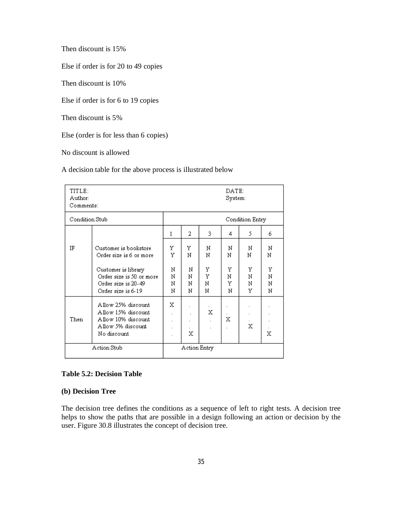Then discount is 15%

Else if order is for 20 to 49 copies

Then discount is 10%

Else if order is for 6 to 19 copies

Then discount is 5%

Else (order is for less than 6 copies)

No discount is allowed

A decision table for the above process is illustrated below

| TITLE:<br>Author:<br>Comments: |                                                                                                    | DATE:<br>System: |                  |                  |                  |                  |                  |  |  |
|--------------------------------|----------------------------------------------------------------------------------------------------|------------------|------------------|------------------|------------------|------------------|------------------|--|--|
| Condition Stub                 |                                                                                                    | Condition Entry  |                  |                  |                  |                  |                  |  |  |
|                                |                                                                                                    | 1                | 2                | 3.               | 4                | 5                | 6                |  |  |
| ΙF                             | Customer is bookstore<br>Order size is 6 or more                                                   | Y<br>Ÿ           | Y<br>N           | И<br>N           | N<br>N           | Ν<br>N           | N<br>И           |  |  |
|                                | Customer is library<br>Order size is 50 or more<br>Order size is 20-49<br>Order size is 6-19       | N<br>N<br>N<br>N | N<br>И<br>N<br>N | Y<br>Υ<br>N<br>N | Y<br>И<br>Y<br>N | Y<br>И<br>N<br>Y | Y<br>Ν<br>N<br>N |  |  |
| Then                           | Allow 25% discount<br>Allow 15% discount<br>Allow 10% discount<br>Allow 5% discount<br>No discount | х                | X                | х                | х                | X                | х                |  |  |
| Action Stub                    |                                                                                                    | Action Entry     |                  |                  |                  |                  |                  |  |  |

# **Table 5.2: Decision Table**

#### **(b) Decision Tree**

The decision tree defines the conditions as a sequence of left to right tests. A decision tree helps to show the paths that are possible in a design following an action or decision by the user. Figure 30.8 illustrates the concept of decision tree.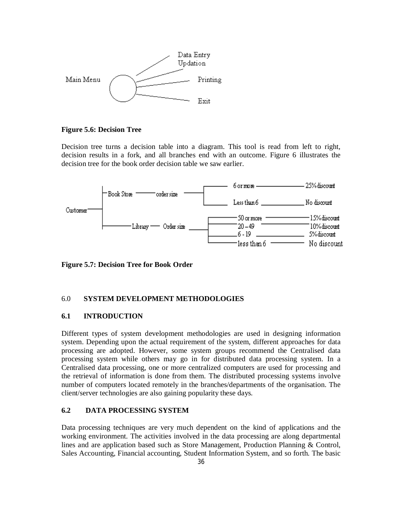

#### **Figure 5.6: Decision Tree**

Decision tree turns a decision table into a diagram. This tool is read from left to right, decision results in a fork, and all branches end with an outcome. Figure 6 illustrates the decision tree for the book order decision table we saw earlier.



**Figure 5.7: Decision Tree for Book Order**

#### 6.0 **SYSTEM DEVELOPMENT METHODOLOGIES**

#### **6.1 INTRODUCTION**

Different types of system development methodologies are used in designing information system. Depending upon the actual requirement of the system, different approaches for data processing are adopted. However, some system groups recommend the Centralised data processing system while others may go in for distributed data processing system. In a Centralised data processing, one or more centralized computers are used for processing and the retrieval of information is done from them. The distributed processing systems involve number of computers located remotely in the branches/departments of the organisation. The client/server technologies are also gaining popularity these days.

# **6.2 DATA PROCESSING SYSTEM**

Data processing techniques are very much dependent on the kind of applications and the working environment. The activities involved in the data processing are along departmental lines and are application based such as Store Management, Production Planning & Control, Sales Accounting, Financial accounting, Student Information System, and so forth. The basic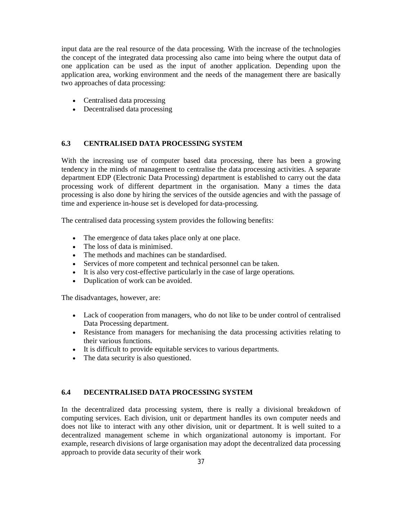input data are the real resource of the data processing. With the increase of the technologies the concept of the integrated data processing also came into being where the output data of one application can be used as the input of another application. Depending upon the application area, working environment and the needs of the management there are basically two approaches of data processing:

- Centralised data processing
- Decentralised data processing

# **6.3 CENTRALISED DATA PROCESSING SYSTEM**

With the increasing use of computer based data processing, there has been a growing tendency in the minds of management to centralise the data processing activities. A separate department EDP (Electronic Data Processing) department is established to carry out the data processing work of different department in the organisation. Many a times the data processing is also done by hiring the services of the outside agencies and with the passage of time and experience in-house set is developed for data-processing.

The centralised data processing system provides the following benefits:

- The emergence of data takes place only at one place.
- The loss of data is minimised.
- The methods and machines can be standardised.
- Services of more competent and technical personnel can be taken.
- It is also very cost-effective particularly in the case of large operations.
- Duplication of work can be avoided.

The disadvantages, however, are:

- Lack of cooperation from managers, who do not like to be under control of centralised Data Processing department.
- Resistance from managers for mechanising the data processing activities relating to their various functions.
- It is difficult to provide equitable services to various departments.
- The data security is also questioned.

#### **6.4 DECENTRALISED DATA PROCESSING SYSTEM**

In the decentralized data processing system, there is really a divisional breakdown of computing services. Each division, unit or department handles its own computer needs and does not like to interact with any other division, unit or department. It is well suited to a decentralized management scheme in which organizational autonomy is important. For example, research divisions of large organisation may adopt the decentralized data processing approach to provide data security of their work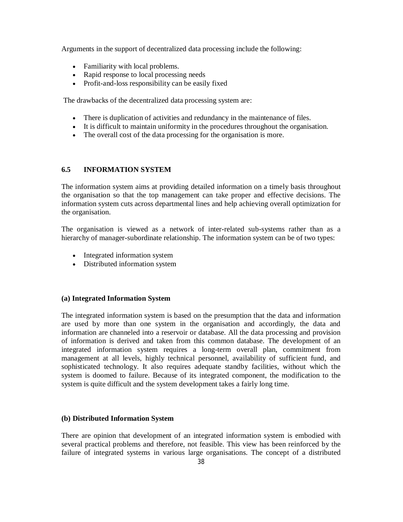Arguments in the support of decentralized data processing include the following:

- Familiarity with local problems.
- Rapid response to local processing needs
- Profit-and-loss responsibility can be easily fixed

The drawbacks of the decentralized data processing system are:

- There is duplication of activities and redundancy in the maintenance of files.
- It is difficult to maintain uniformity in the procedures throughout the organisation.
- The overall cost of the data processing for the organisation is more.

#### **6.5 INFORMATION SYSTEM**

The information system aims at providing detailed information on a timely basis throughout the organisation so that the top management can take proper and effective decisions. The information system cuts across departmental lines and help achieving overall optimization for the organisation.

The organisation is viewed as a network of inter-related sub-systems rather than as a hierarchy of manager-subordinate relationship. The information system can be of two types:

- Integrated information system
- Distributed information system

#### **(a) Integrated Information System**

The integrated information system is based on the presumption that the data and information are used by more than one system in the organisation and accordingly, the data and information are channeled into a reservoir or database. All the data processing and provision of information is derived and taken from this common database. The development of an integrated information system requires a long-term overall plan, commitment from management at all levels, highly technical personnel, availability of sufficient fund, and sophisticated technology. It also requires adequate standby facilities, without which the system is doomed to failure. Because of its integrated component, the modification to the system is quite difficult and the system development takes a fairly long time.

#### **(b) Distributed Information System**

There are opinion that development of an integrated information system is embodied with several practical problems and therefore, not feasible. This view has been reinforced by the failure of integrated systems in various large organisations. The concept of a distributed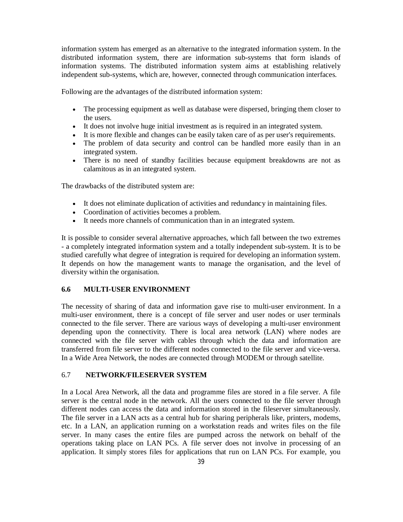information system has emerged as an alternative to the integrated information system. In the distributed information system, there are information sub-systems that form islands of information systems. The distributed information system aims at establishing relatively independent sub-systems, which are, however, connected through communication interfaces.

Following are the advantages of the distributed information system:

- The processing equipment as well as database were dispersed, bringing them closer to the users.
- It does not involve huge initial investment as is required in an integrated system.
- It is more flexible and changes can be easily taken care of as per user's requirements.
- The problem of data security and control can be handled more easily than in an integrated system.
- There is no need of standby facilities because equipment breakdowns are not as calamitous as in an integrated system.

The drawbacks of the distributed system are:

- It does not eliminate duplication of activities and redundancy in maintaining files.
- Coordination of activities becomes a problem.
- It needs more channels of communication than in an integrated system.

It is possible to consider several alternative approaches, which fall between the two extremes - a completely integrated information system and a totally independent sub-system. It is to be studied carefully what degree of integration is required for developing an information system. It depends on how the management wants to manage the organisation, and the level of diversity within the organisation.

#### **6.6 MULTI-USER ENVIRONMENT**

The necessity of sharing of data and information gave rise to multi-user environment. In a multi-user environment, there is a concept of file server and user nodes or user terminals connected to the file server. There are various ways of developing a multi-user environment depending upon the connectivity. There is local area network (LAN) where nodes are connected with the file server with cables through which the data and information are transferred from file server to the different nodes connected to the file server and vice-versa. In a Wide Area Network, the nodes are connected through MODEM or through satellite.

#### 6.7 **NETWORK/FILESERVER SYSTEM**

In a Local Area Network, all the data and programme files are stored in a file server. A file server is the central node in the network. All the users connected to the file server through different nodes can access the data and information stored in the fileserver simultaneously. The file server in a LAN acts as a central hub for sharing peripherals like, printers, modems, etc. In a LAN, an application running on a workstation reads and writes files on the file server. In many cases the entire files are pumped across the network on behalf of the operations taking place on LAN PCs. A file server does not involve in processing of an application. It simply stores files for applications that run on LAN PCs. For example, you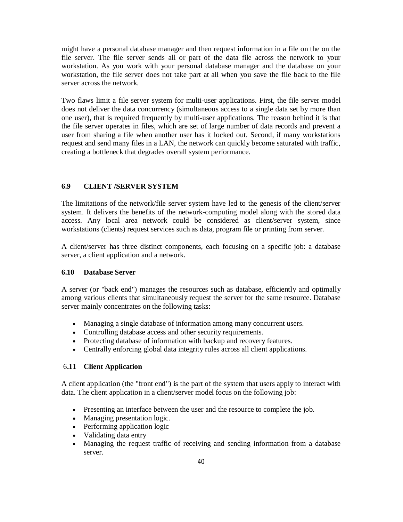might have a personal database manager and then request information in a file on the on the file server. The file server sends all or part of the data file across the network to your workstation. As you work with your personal database manager and the database on your workstation, the file server does not take part at all when you save the file back to the file server across the network.

Two flaws limit a file server system for multi-user applications. First, the file server model does not deliver the data concurrency (simultaneous access to a single data set by more than one user), that is required frequently by multi-user applications. The reason behind it is that the file server operates in files, which are set of large number of data records and prevent a user from sharing a file when another user has it locked out. Second, if many workstations request and send many files in a LAN, the network can quickly become saturated with traffic, creating a bottleneck that degrades overall system performance.

# **6.9 CLIENT /SERVER SYSTEM**

The limitations of the network/file server system have led to the genesis of the client/server system. It delivers the benefits of the network-computing model along with the stored data access. Any local area network could be considered as client/server system, since workstations (clients) request services such as data, program file or printing from server.

A client/server has three distinct components, each focusing on a specific job: a database server, a client application and a network.

#### **6.10 Database Server**

A server (or "back end") manages the resources such as database, efficiently and optimally among various clients that simultaneously request the server for the same resource. Database server mainly concentrates on the following tasks:

- Managing a single database of information among many concurrent users.
- Controlling database access and other security requirements.
- Protecting database of information with backup and recovery features.
- Centrally enforcing global data integrity rules across all client applications.

## 6**.11 Client Application**

A client application (the "front end") is the part of the system that users apply to interact with data. The client application in a client/server model focus on the following job:

- Presenting an interface between the user and the resource to complete the job.
- Managing presentation logic.
- Performing application logic
- Validating data entry
- Managing the request traffic of receiving and sending information from a database server.